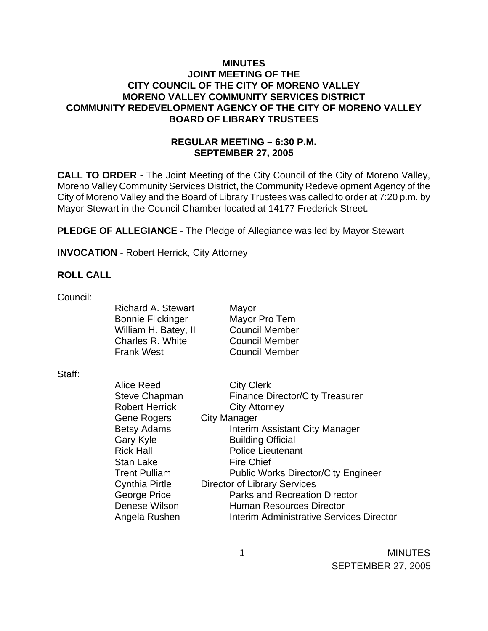## **MINUTES JOINT MEETING OF THE CITY COUNCIL OF THE CITY OF MORENO VALLEY MORENO VALLEY COMMUNITY SERVICES DISTRICT COMMUNITY REDEVELOPMENT AGENCY OF THE CITY OF MORENO VALLEY BOARD OF LIBRARY TRUSTEES**

# **REGULAR MEETING – 6:30 P.M. SEPTEMBER 27, 2005**

**CALL TO ORDER** - The Joint Meeting of the City Council of the City of Moreno Valley, Moreno Valley Community Services District, the Community Redevelopment Agency of the City of Moreno Valley and the Board of Library Trustees was called to order at 7:20 p.m. by Mayor Stewart in the Council Chamber located at 14177 Frederick Street.

**PLEDGE OF ALLEGIANCE** - The Pledge of Allegiance was led by Mayor Stewart

**INVOCATION** - Robert Herrick, City Attorney

### **ROLL CALL**

Council:

|        | <b>Richard A. Stewart</b><br><b>Bonnie Flickinger</b><br>William H. Batey, II<br>Charles R. White<br><b>Frank West</b> | Mayor<br>Mayor Pro Tem<br><b>Council Member</b><br><b>Council Member</b><br><b>Council Member</b> |
|--------|------------------------------------------------------------------------------------------------------------------------|---------------------------------------------------------------------------------------------------|
| Staff: |                                                                                                                        |                                                                                                   |
|        | Alice Reed                                                                                                             | <b>City Clerk</b>                                                                                 |
|        | <b>Steve Chapman</b>                                                                                                   | <b>Finance Director/City Treasurer</b>                                                            |
|        | <b>Robert Herrick</b>                                                                                                  | <b>City Attorney</b>                                                                              |
|        | Gene Rogers                                                                                                            | City Manager                                                                                      |
|        | <b>Betsy Adams</b>                                                                                                     | Interim Assistant City Manager                                                                    |
|        | Gary Kyle                                                                                                              | <b>Building Official</b>                                                                          |
|        | <b>Rick Hall</b>                                                                                                       | <b>Police Lieutenant</b>                                                                          |
|        | Stan Lake                                                                                                              | <b>Fire Chief</b>                                                                                 |
|        | <b>Trent Pulliam</b>                                                                                                   | <b>Public Works Director/City Engineer</b>                                                        |
|        | Cynthia Pirtle                                                                                                         | <b>Director of Library Services</b>                                                               |
|        | George Price                                                                                                           | <b>Parks and Recreation Director</b>                                                              |
|        | Denese Wilson                                                                                                          | <b>Human Resources Director</b>                                                                   |
|        | Angela Rushen                                                                                                          | <b>Interim Administrative Services Director</b>                                                   |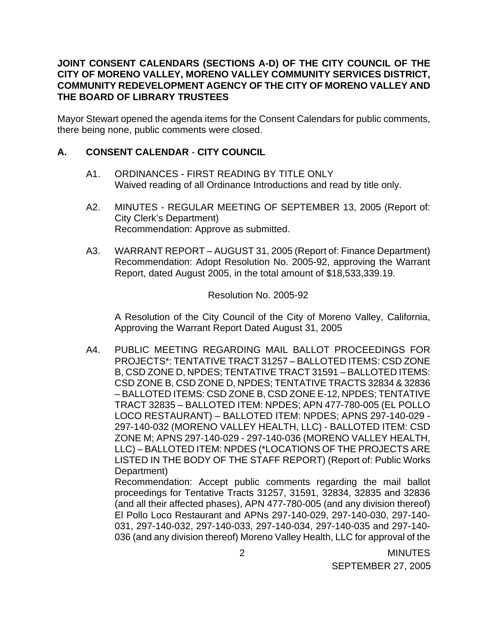## **JOINT CONSENT CALENDARS (SECTIONS A-D) OF THE CITY COUNCIL OF THE CITY OF MORENO VALLEY, MORENO VALLEY COMMUNITY SERVICES DISTRICT, COMMUNITY REDEVELOPMENT AGENCY OF THE CITY OF MORENO VALLEY AND THE BOARD OF LIBRARY TRUSTEES**

Mayor Stewart opened the agenda items for the Consent Calendars for public comments, there being none, public comments were closed.

## **A. CONSENT CALENDAR** - **CITY COUNCIL**

- A1. ORDINANCES FIRST READING BY TITLE ONLY Waived reading of all Ordinance Introductions and read by title only.
- A2. MINUTES REGULAR MEETING OF SEPTEMBER 13, 2005 (Report of: City Clerk's Department) Recommendation: Approve as submitted.
- A3. WARRANT REPORT AUGUST 31, 2005 (Report of: Finance Department) Recommendation: Adopt Resolution No. 2005-92, approving the Warrant Report, dated August 2005, in the total amount of \$18,533,339.19.

#### Resolution No. 2005-92

 A Resolution of the City Council of the City of Moreno Valley, California, Approving the Warrant Report Dated August 31, 2005

A4. PUBLIC MEETING REGARDING MAIL BALLOT PROCEEDINGS FOR PROJECTS\*: TENTATIVE TRACT 31257 – BALLOTED ITEMS: CSD ZONE B, CSD ZONE D, NPDES; TENTATIVE TRACT 31591 – BALLOTED ITEMS: CSD ZONE B, CSD ZONE D, NPDES; TENTATIVE TRACTS 32834 & 32836 – BALLOTED ITEMS: CSD ZONE B, CSD ZONE E-12, NPDES; TENTATIVE TRACT 32835 – BALLOTED ITEM: NPDES; APN 477-780-005 (EL POLLO LOCO RESTAURANT) – BALLOTED ITEM: NPDES; APNS 297-140-029 - 297-140-032 (MORENO VALLEY HEALTH, LLC) - BALLOTED ITEM: CSD ZONE M; APNS 297-140-029 - 297-140-036 (MORENO VALLEY HEALTH, LLC) – BALLOTED ITEM: NPDES (\*LOCATIONS OF THE PROJECTS ARE LISTED IN THE BODY OF THE STAFF REPORT) (Report of: Public Works Department)

 Recommendation: Accept public comments regarding the mail ballot proceedings for Tentative Tracts 31257, 31591, 32834, 32835 and 32836 (and all their affected phases), APN 477-780-005 (and any division thereof) El Pollo Loco Restaurant and APNs 297-140-029, 297-140-030, 297-140- 031, 297-140-032, 297-140-033, 297-140-034, 297-140-035 and 297-140- 036 (and any division thereof) Moreno Valley Health, LLC for approval of the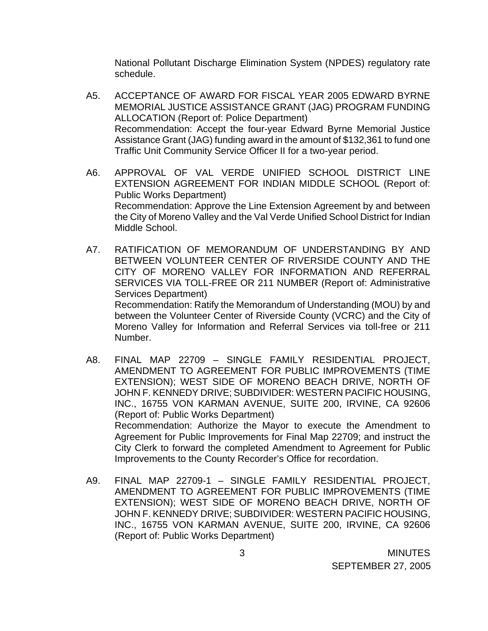National Pollutant Discharge Elimination System (NPDES) regulatory rate schedule.

- A5. ACCEPTANCE OF AWARD FOR FISCAL YEAR 2005 EDWARD BYRNE MEMORIAL JUSTICE ASSISTANCE GRANT (JAG) PROGRAM FUNDING ALLOCATION (Report of: Police Department) Recommendation: Accept the four-year Edward Byrne Memorial Justice Assistance Grant (JAG) funding award in the amount of \$132,361 to fund one Traffic Unit Community Service Officer II for a two-year period.
- A6. APPROVAL OF VAL VERDE UNIFIED SCHOOL DISTRICT LINE EXTENSION AGREEMENT FOR INDIAN MIDDLE SCHOOL (Report of: Public Works Department) Recommendation: Approve the Line Extension Agreement by and between the City of Moreno Valley and the Val Verde Unified School District for Indian Middle School.
- A7. RATIFICATION OF MEMORANDUM OF UNDERSTANDING BY AND BETWEEN VOLUNTEER CENTER OF RIVERSIDE COUNTY AND THE CITY OF MORENO VALLEY FOR INFORMATION AND REFERRAL SERVICES VIA TOLL-FREE OR 211 NUMBER (Report of: Administrative Services Department) Recommendation: Ratify the Memorandum of Understanding (MOU) by and between the Volunteer Center of Riverside County (VCRC) and the City of Moreno Valley for Information and Referral Services via toll-free or 211

Number.

- A8. FINAL MAP 22709 SINGLE FAMILY RESIDENTIAL PROJECT, AMENDMENT TO AGREEMENT FOR PUBLIC IMPROVEMENTS (TIME EXTENSION); WEST SIDE OF MORENO BEACH DRIVE, NORTH OF JOHN F. KENNEDY DRIVE; SUBDIVIDER: WESTERN PACIFIC HOUSING, INC., 16755 VON KARMAN AVENUE, SUITE 200, IRVINE, CA 92606 (Report of: Public Works Department) Recommendation: Authorize the Mayor to execute the Amendment to Agreement for Public Improvements for Final Map 22709; and instruct the City Clerk to forward the completed Amendment to Agreement for Public Improvements to the County Recorder's Office for recordation.
- A9. FINAL MAP 22709-1 SINGLE FAMILY RESIDENTIAL PROJECT, AMENDMENT TO AGREEMENT FOR PUBLIC IMPROVEMENTS (TIME EXTENSION); WEST SIDE OF MORENO BEACH DRIVE, NORTH OF JOHN F. KENNEDY DRIVE; SUBDIVIDER: WESTERN PACIFIC HOUSING, INC., 16755 VON KARMAN AVENUE, SUITE 200, IRVINE, CA 92606 (Report of: Public Works Department)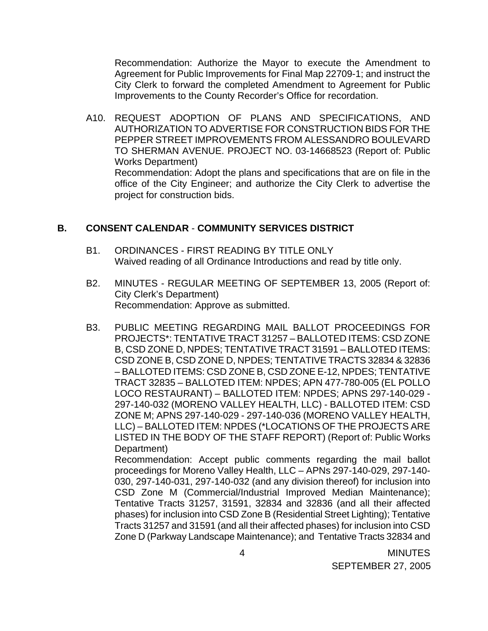Recommendation: Authorize the Mayor to execute the Amendment to Agreement for Public Improvements for Final Map 22709-1; and instruct the City Clerk to forward the completed Amendment to Agreement for Public Improvements to the County Recorder's Office for recordation.

A10. REQUEST ADOPTION OF PLANS AND SPECIFICATIONS, AND AUTHORIZATION TO ADVERTISE FOR CONSTRUCTION BIDS FOR THE PEPPER STREET IMPROVEMENTS FROM ALESSANDRO BOULEVARD TO SHERMAN AVENUE. PROJECT NO. 03-14668523 (Report of: Public Works Department) Recommendation: Adopt the plans and specifications that are on file in the office of the City Engineer; and authorize the City Clerk to advertise the

### **B. CONSENT CALENDAR** - **COMMUNITY SERVICES DISTRICT**

project for construction bids.

- B1. ORDINANCES FIRST READING BY TITLE ONLY Waived reading of all Ordinance Introductions and read by title only.
- B2. MINUTES REGULAR MEETING OF SEPTEMBER 13, 2005 (Report of: City Clerk's Department) Recommendation: Approve as submitted.
- B3. PUBLIC MEETING REGARDING MAIL BALLOT PROCEEDINGS FOR PROJECTS\*: TENTATIVE TRACT 31257 – BALLOTED ITEMS: CSD ZONE B, CSD ZONE D, NPDES; TENTATIVE TRACT 31591 – BALLOTED ITEMS: CSD ZONE B, CSD ZONE D, NPDES; TENTATIVE TRACTS 32834 & 32836 – BALLOTED ITEMS: CSD ZONE B, CSD ZONE E-12, NPDES; TENTATIVE TRACT 32835 – BALLOTED ITEM: NPDES; APN 477-780-005 (EL POLLO LOCO RESTAURANT) – BALLOTED ITEM: NPDES; APNS 297-140-029 - 297-140-032 (MORENO VALLEY HEALTH, LLC) - BALLOTED ITEM: CSD ZONE M; APNS 297-140-029 - 297-140-036 (MORENO VALLEY HEALTH, LLC) – BALLOTED ITEM: NPDES (\*LOCATIONS OF THE PROJECTS ARE LISTED IN THE BODY OF THE STAFF REPORT) (Report of: Public Works Department)

 Recommendation: Accept public comments regarding the mail ballot proceedings for Moreno Valley Health, LLC – APNs 297-140-029, 297-140- 030, 297-140-031, 297-140-032 (and any division thereof) for inclusion into CSD Zone M (Commercial/Industrial Improved Median Maintenance); Tentative Tracts 31257, 31591, 32834 and 32836 (and all their affected phases) for inclusion into CSD Zone B (Residential Street Lighting); Tentative Tracts 31257 and 31591 (and all their affected phases) for inclusion into CSD Zone D (Parkway Landscape Maintenance); and Tentative Tracts 32834 and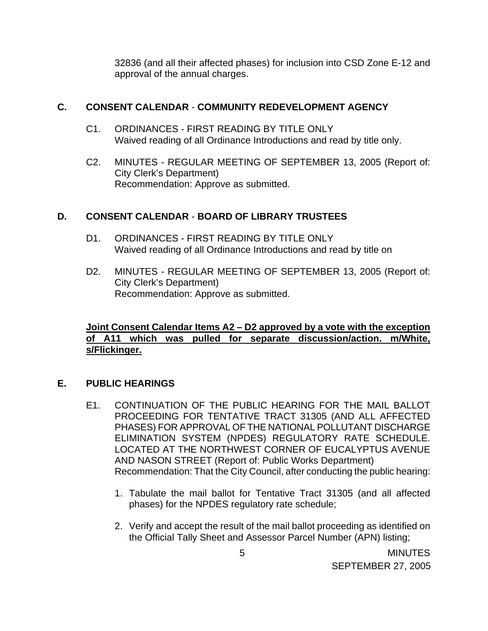32836 (and all their affected phases) for inclusion into CSD Zone E-12 and approval of the annual charges.

## **C. CONSENT CALENDAR** - **COMMUNITY REDEVELOPMENT AGENCY**

- C1. ORDINANCES FIRST READING BY TITLE ONLY Waived reading of all Ordinance Introductions and read by title only.
- C2. MINUTES REGULAR MEETING OF SEPTEMBER 13, 2005 (Report of: City Clerk's Department) Recommendation: Approve as submitted.

## **D. CONSENT CALENDAR** - **BOARD OF LIBRARY TRUSTEES**

- D1. ORDINANCES FIRST READING BY TITLE ONLY Waived reading of all Ordinance Introductions and read by title on
- D2. MINUTES REGULAR MEETING OF SEPTEMBER 13, 2005 (Report of: City Clerk's Department) Recommendation: Approve as submitted.

## **Joint Consent Calendar Items A2 – D2 approved by a vote with the exception of A11 which was pulled for separate discussion/action. m/White, s/Flickinger.**

# **E. PUBLIC HEARINGS**

- E1. CONTINUATION OF THE PUBLIC HEARING FOR THE MAIL BALLOT PROCEEDING FOR TENTATIVE TRACT 31305 (AND ALL AFFECTED PHASES) FOR APPROVAL OF THE NATIONAL POLLUTANT DISCHARGE ELIMINATION SYSTEM (NPDES) REGULATORY RATE SCHEDULE. LOCATED AT THE NORTHWEST CORNER OF EUCALYPTUS AVENUE AND NASON STREET (Report of: Public Works Department) Recommendation: That the City Council, after conducting the public hearing:
	- 1. Tabulate the mail ballot for Tentative Tract 31305 (and all affected phases) for the NPDES regulatory rate schedule;
	- 2. Verify and accept the result of the mail ballot proceeding as identified on the Official Tally Sheet and Assessor Parcel Number (APN) listing;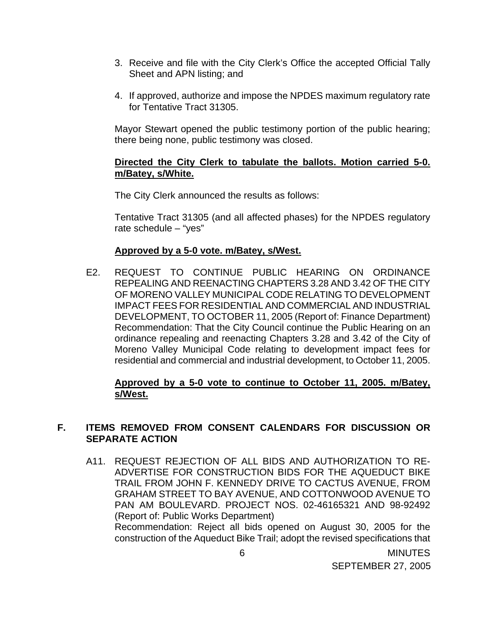- 3. Receive and file with the City Clerk's Office the accepted Official Tally Sheet and APN listing; and
- 4. If approved, authorize and impose the NPDES maximum regulatory rate for Tentative Tract 31305.

 Mayor Stewart opened the public testimony portion of the public hearing; there being none, public testimony was closed.

#### **Directed the City Clerk to tabulate the ballots. Motion carried 5-0. m/Batey, s/White.**

The City Clerk announced the results as follows:

Tentative Tract 31305 (and all affected phases) for the NPDES regulatory rate schedule – "yes"

#### **Approved by a 5-0 vote. m/Batey, s/West.**

E2. REQUEST TO CONTINUE PUBLIC HEARING ON ORDINANCE REPEALING AND REENACTING CHAPTERS 3.28 AND 3.42 OF THE CITY OF MORENO VALLEY MUNICIPAL CODE RELATING TO DEVELOPMENT IMPACT FEES FOR RESIDENTIAL AND COMMERCIAL AND INDUSTRIAL DEVELOPMENT, TO OCTOBER 11, 2005 (Report of: Finance Department) Recommendation: That the City Council continue the Public Hearing on an ordinance repealing and reenacting Chapters 3.28 and 3.42 of the City of Moreno Valley Municipal Code relating to development impact fees for residential and commercial and industrial development, to October 11, 2005.

#### **Approved by a 5-0 vote to continue to October 11, 2005. m/Batey, s/West.**

## **F. ITEMS REMOVED FROM CONSENT CALENDARS FOR DISCUSSION OR SEPARATE ACTION**

A11. REQUEST REJECTION OF ALL BIDS AND AUTHORIZATION TO RE-ADVERTISE FOR CONSTRUCTION BIDS FOR THE AQUEDUCT BIKE TRAIL FROM JOHN F. KENNEDY DRIVE TO CACTUS AVENUE, FROM GRAHAM STREET TO BAY AVENUE, AND COTTONWOOD AVENUE TO PAN AM BOULEVARD. PROJECT NOS. 02-46165321 AND 98-92492 (Report of: Public Works Department) Recommendation: Reject all bids opened on August 30, 2005 for the construction of the Aqueduct Bike Trail; adopt the revised specifications that

 6 MINUTES SEPTEMBER 27, 2005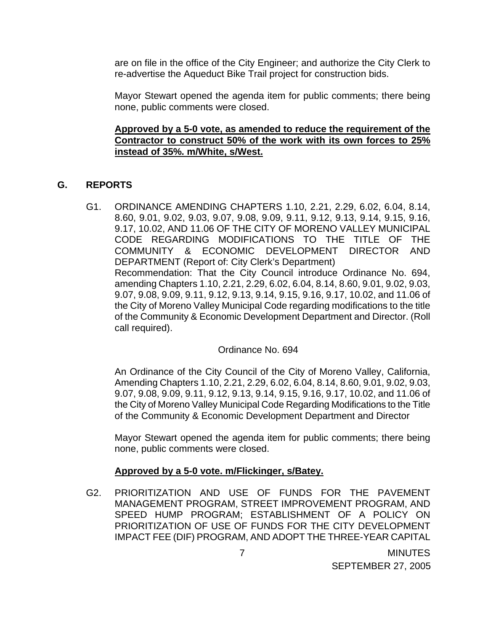are on file in the office of the City Engineer; and authorize the City Clerk to re-advertise the Aqueduct Bike Trail project for construction bids.

 Mayor Stewart opened the agenda item for public comments; there being none, public comments were closed.

#### **Approved by a 5-0 vote, as amended to reduce the requirement of the Contractor to construct 50% of the work with its own forces to 25% instead of 35%. m/White, s/West.**

## **G. REPORTS**

G1. ORDINANCE AMENDING CHAPTERS 1.10, 2.21, 2.29, 6.02, 6.04, 8.14, 8.60, 9.01, 9.02, 9.03, 9.07, 9.08, 9.09, 9.11, 9.12, 9.13, 9.14, 9.15, 9.16, 9.17, 10.02, AND 11.06 OF THE CITY OF MORENO VALLEY MUNICIPAL CODE REGARDING MODIFICATIONS TO THE TITLE OF THE COMMUNITY & ECONOMIC DEVELOPMENT DIRECTOR AND DEPARTMENT (Report of: City Clerk's Department) Recommendation: That the City Council introduce Ordinance No. 694, amending Chapters 1.10, 2.21, 2.29, 6.02, 6.04, 8.14, 8.60, 9.01, 9.02, 9.03, 9.07, 9.08, 9.09, 9.11, 9.12, 9.13, 9.14, 9.15, 9.16, 9.17, 10.02, and 11.06 of the City of Moreno Valley Municipal Code regarding modifications to the title of the Community & Economic Development Department and Director. (Roll call required).

### Ordinance No. 694

 An Ordinance of the City Council of the City of Moreno Valley, California, Amending Chapters 1.10, 2.21, 2.29, 6.02, 6.04, 8.14, 8.60, 9.01, 9.02, 9.03, 9.07, 9.08, 9.09, 9.11, 9.12, 9.13, 9.14, 9.15, 9.16, 9.17, 10.02, and 11.06 of the City of Moreno Valley Municipal Code Regarding Modifications to the Title of the Community & Economic Development Department and Director

 Mayor Stewart opened the agenda item for public comments; there being none, public comments were closed.

### **Approved by a 5-0 vote. m/Flickinger, s/Batey.**

G2. PRIORITIZATION AND USE OF FUNDS FOR THE PAVEMENT MANAGEMENT PROGRAM, STREET IMPROVEMENT PROGRAM, AND SPEED HUMP PROGRAM; ESTABLISHMENT OF A POLICY ON PRIORITIZATION OF USE OF FUNDS FOR THE CITY DEVELOPMENT IMPACT FEE (DIF) PROGRAM, AND ADOPT THE THREE-YEAR CAPITAL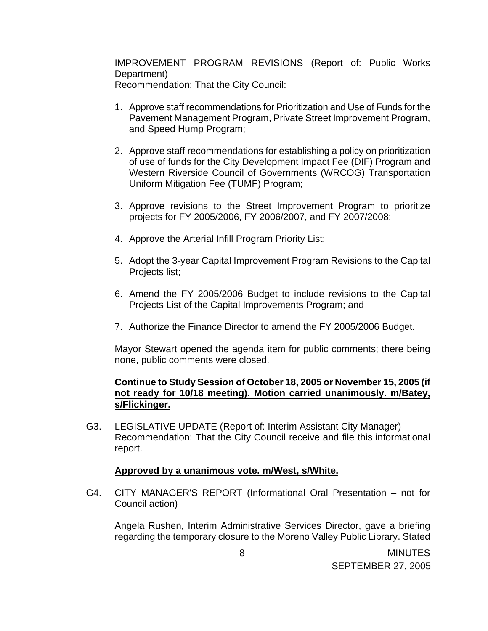IMPROVEMENT PROGRAM REVISIONS (Report of: Public Works Department) Recommendation: That the City Council:

- 1. Approve staff recommendations for Prioritization and Use of Funds for the Pavement Management Program, Private Street Improvement Program, and Speed Hump Program;
- 2. Approve staff recommendations for establishing a policy on prioritization of use of funds for the City Development Impact Fee (DIF) Program and Western Riverside Council of Governments (WRCOG) Transportation Uniform Mitigation Fee (TUMF) Program;
- 3. Approve revisions to the Street Improvement Program to prioritize projects for FY 2005/2006, FY 2006/2007, and FY 2007/2008;
- 4. Approve the Arterial Infill Program Priority List;
- 5. Adopt the 3-year Capital Improvement Program Revisions to the Capital Projects list;
- 6. Amend the FY 2005/2006 Budget to include revisions to the Capital Projects List of the Capital Improvements Program; and
- 7. Authorize the Finance Director to amend the FY 2005/2006 Budget.

 Mayor Stewart opened the agenda item for public comments; there being none, public comments were closed.

# **Continue to Study Session of October 18, 2005 or November 15, 2005 (if not ready for 10/18 meeting). Motion carried unanimously. m/Batey, s/Flickinger.**

G3. LEGISLATIVE UPDATE (Report of: Interim Assistant City Manager) Recommendation: That the City Council receive and file this informational report.

### **Approved by a unanimous vote. m/West, s/White.**

G4. CITY MANAGER'S REPORT (Informational Oral Presentation – not for Council action)

 Angela Rushen, Interim Administrative Services Director, gave a briefing regarding the temporary closure to the Moreno Valley Public Library. Stated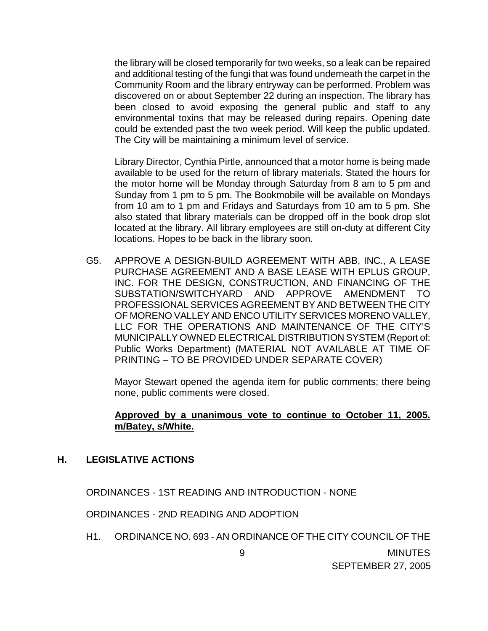the library will be closed temporarily for two weeks, so a leak can be repaired and additional testing of the fungi that was found underneath the carpet in the Community Room and the library entryway can be performed. Problem was discovered on or about September 22 during an inspection. The library has been closed to avoid exposing the general public and staff to any environmental toxins that may be released during repairs. Opening date could be extended past the two week period. Will keep the public updated. The City will be maintaining a minimum level of service.

 Library Director, Cynthia Pirtle, announced that a motor home is being made available to be used for the return of library materials. Stated the hours for the motor home will be Monday through Saturday from 8 am to 5 pm and Sunday from 1 pm to 5 pm. The Bookmobile will be available on Mondays from 10 am to 1 pm and Fridays and Saturdays from 10 am to 5 pm. She also stated that library materials can be dropped off in the book drop slot located at the library. All library employees are still on-duty at different City locations. Hopes to be back in the library soon.

G5. APPROVE A DESIGN-BUILD AGREEMENT WITH ABB, INC., A LEASE PURCHASE AGREEMENT AND A BASE LEASE WITH EPLUS GROUP, INC. FOR THE DESIGN, CONSTRUCTION, AND FINANCING OF THE SUBSTATION/SWITCHYARD AND APPROVE AMENDMENT TO PROFESSIONAL SERVICES AGREEMENT BY AND BETWEEN THE CITY OF MORENO VALLEY AND ENCO UTILITY SERVICES MORENO VALLEY, LLC FOR THE OPERATIONS AND MAINTENANCE OF THE CITY'S MUNICIPALLY OWNED ELECTRICAL DISTRIBUTION SYSTEM (Report of: Public Works Department) (MATERIAL NOT AVAILABLE AT TIME OF PRINTING – TO BE PROVIDED UNDER SEPARATE COVER)

 Mayor Stewart opened the agenda item for public comments; there being none, public comments were closed.

#### **Approved by a unanimous vote to continue to October 11, 2005. m/Batey, s/White.**

### **H. LEGISLATIVE ACTIONS**

ORDINANCES - 1ST READING AND INTRODUCTION - NONE

ORDINANCES - 2ND READING AND ADOPTION

H1. ORDINANCE NO. 693 - AN ORDINANCE OF THE CITY COUNCIL OF THE

 9 MINUTES SEPTEMBER 27, 2005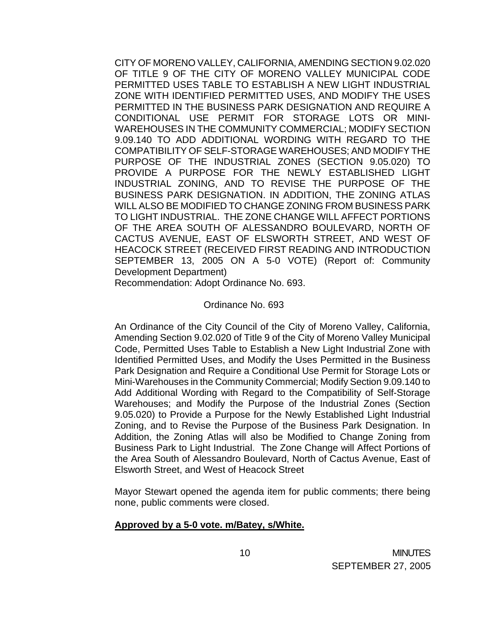CITY OF MORENO VALLEY, CALIFORNIA, AMENDING SECTION 9.02.020 OF TITLE 9 OF THE CITY OF MORENO VALLEY MUNICIPAL CODE PERMITTED USES TABLE TO ESTABLISH A NEW LIGHT INDUSTRIAL ZONE WITH IDENTIFIED PERMITTED USES, AND MODIFY THE USES PERMITTED IN THE BUSINESS PARK DESIGNATION AND REQUIRE A CONDITIONAL USE PERMIT FOR STORAGE LOTS OR MINI-WAREHOUSES IN THE COMMUNITY COMMERCIAL; MODIFY SECTION 9.09.140 TO ADD ADDITIONAL WORDING WITH REGARD TO THE COMPATIBILITY OF SELF-STORAGE WAREHOUSES; AND MODIFY THE PURPOSE OF THE INDUSTRIAL ZONES (SECTION 9.05.020) TO PROVIDE A PURPOSE FOR THE NEWLY ESTABLISHED LIGHT INDUSTRIAL ZONING, AND TO REVISE THE PURPOSE OF THE BUSINESS PARK DESIGNATION. IN ADDITION, THE ZONING ATLAS WILL ALSO BE MODIFIED TO CHANGE ZONING FROM BUSINESS PARK TO LIGHT INDUSTRIAL. THE ZONE CHANGE WILL AFFECT PORTIONS OF THE AREA SOUTH OF ALESSANDRO BOULEVARD, NORTH OF CACTUS AVENUE, EAST OF ELSWORTH STREET, AND WEST OF HEACOCK STREET (RECEIVED FIRST READING AND INTRODUCTION SEPTEMBER 13, 2005 ON A 5-0 VOTE) (Report of: Community Development Department)

Recommendation: Adopt Ordinance No. 693.

#### Ordinance No. 693

 An Ordinance of the City Council of the City of Moreno Valley, California, Amending Section 9.02.020 of Title 9 of the City of Moreno Valley Municipal Code, Permitted Uses Table to Establish a New Light Industrial Zone with Identified Permitted Uses, and Modify the Uses Permitted in the Business Park Designation and Require a Conditional Use Permit for Storage Lots or Mini-Warehouses in the Community Commercial; Modify Section 9.09.140 to Add Additional Wording with Regard to the Compatibility of Self-Storage Warehouses; and Modify the Purpose of the Industrial Zones (Section 9.05.020) to Provide a Purpose for the Newly Established Light Industrial Zoning, and to Revise the Purpose of the Business Park Designation. In Addition, the Zoning Atlas will also be Modified to Change Zoning from Business Park to Light Industrial. The Zone Change will Affect Portions of the Area South of Alessandro Boulevard, North of Cactus Avenue, East of Elsworth Street, and West of Heacock Street

 Mayor Stewart opened the agenda item for public comments; there being none, public comments were closed.

#### **Approved by a 5-0 vote. m/Batey, s/White.**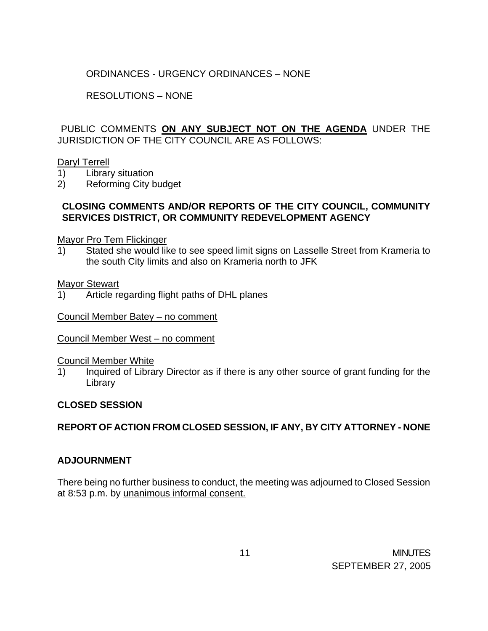# ORDINANCES - URGENCY ORDINANCES – NONE

## RESOLUTIONS – NONE

PUBLIC COMMENTS **ON ANY SUBJECT NOT ON THE AGENDA** UNDER THE JURISDICTION OF THE CITY COUNCIL ARE AS FOLLOWS:

#### Daryl Terrell

- 1) Library situation
- 2) Reforming City budget

## **CLOSING COMMENTS AND/OR REPORTS OF THE CITY COUNCIL, COMMUNITY SERVICES DISTRICT, OR COMMUNITY REDEVELOPMENT AGENCY**

#### Mayor Pro Tem Flickinger

1) Stated she would like to see speed limit signs on Lasselle Street from Krameria to the south City limits and also on Krameria north to JFK

#### Mayor Stewart

1) Article regarding flight paths of DHL planes

### Council Member Batey – no comment

### Council Member West – no comment

#### Council Member White

1) Inquired of Library Director as if there is any other source of grant funding for the Library

### **CLOSED SESSION**

# **REPORT OF ACTION FROM CLOSED SESSION, IF ANY, BY CITY ATTORNEY - NONE**

### **ADJOURNMENT**

There being no further business to conduct, the meeting was adjourned to Closed Session at 8:53 p.m. by unanimous informal consent.